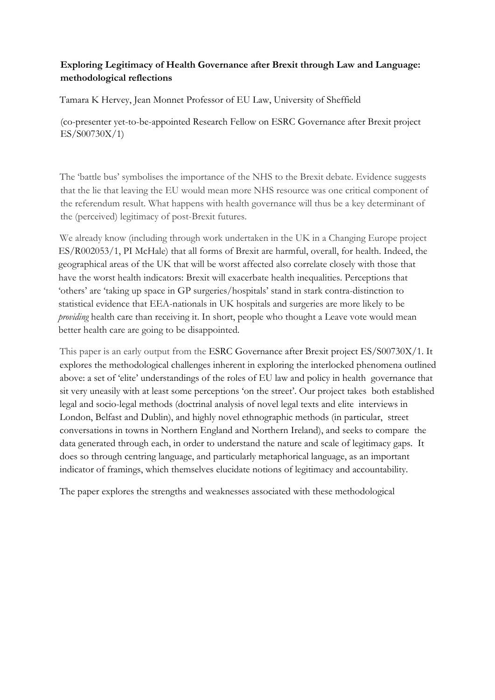## **Exploring Legitimacy of Health Governance after Brexit through Law and Language: methodological reflections**

Tamara K Hervey, Jean Monnet Professor of EU Law, University of Sheffield

(co-presenter yet-to-be-appointed Research Fellow on ESRC Governance after Brexit project ES/S00730X/1)

The 'battle bus' symbolises the importance of the NHS to the Brexit debate. Evidence suggests that the lie that leaving the EU would mean more NHS resource was one critical component of the referendum result. What happens with health governance will thus be a key determinant of the (perceived) legitimacy of post-Brexit futures.

We already know (including through work undertaken in the UK in a Changing Europe project ES/R002053/1, PI McHale) that all forms of Brexit are harmful, overall, for health. Indeed, the geographical areas of the UK that will be worst affected also correlate closely with those that have the worst health indicators: Brexit will exacerbate health inequalities. Perceptions that 'others' are 'taking up space in GP surgeries/hospitals' stand in stark contra-distinction to statistical evidence that EEA-nationals in UK hospitals and surgeries are more likely to be *providing* health care than receiving it. In short, people who thought a Leave vote would mean better health care are going to be disappointed.

This paper is an early output from the ESRC Governance after Brexit project ES/S00730X/1. It explores the methodological challenges inherent in exploring the interlocked phenomena outlined above: a set of 'elite' understandings of the roles of EU law and policy in health governance that sit very uneasily with at least some perceptions 'on the street'. Our project takes both established legal and socio-legal methods (doctrinal analysis of novel legal texts and elite interviews in London, Belfast and Dublin), and highly novel ethnographic methods (in particular, street conversations in towns in Northern England and Northern Ireland), and seeks to compare the data generated through each, in order to understand the nature and scale of legitimacy gaps. It does so through centring language, and particularly metaphorical language, as an important indicator of framings, which themselves elucidate notions of legitimacy and accountability.

The paper explores the strengths and weaknesses associated with these methodological